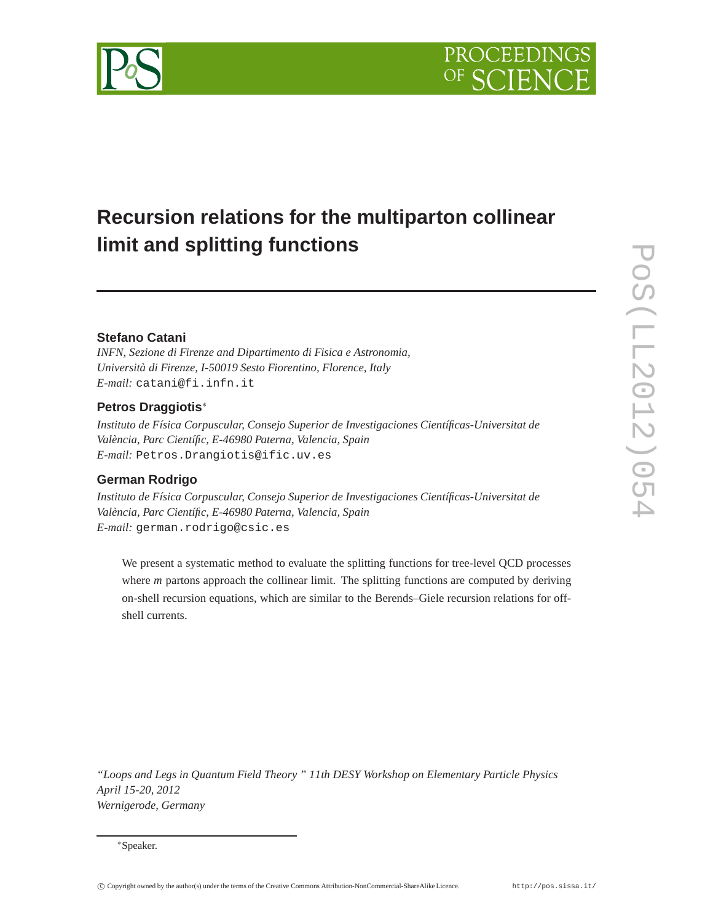# **Recursion relations for the multiparton collinear limit and splitting functions**

# **Stefano Catani**

*INFN, Sezione di Firenze and Dipartimento di Fisica e Astronomia, Università di Firenze, I-50019 Sesto Fiorentino, Florence, Italy E-mail:* catani@fi.infn.it

# **Petros Draggiotis**∗

*Instituto de Física Corpuscular, Consejo Superior de Investigaciones Científicas-Universitat de València, Parc Científic, E-46980 Paterna, Valencia, Spain E-mail:* Petros.Drangiotis@ific.uv.es

### **German Rodrigo**

*Instituto de Física Corpuscular, Consejo Superior de Investigaciones Científicas-Universitat de València, Parc Científic, E-46980 Paterna, Valencia, Spain E-mail:* german.rodrigo@csic.es

We present a systematic method to evaluate the splitting functions for tree-level QCD processes where *m* partons approach the collinear limit. The splitting functions are computed by deriving on-shell recursion equations, which are similar to the Berends–Giele recursion relations for offshell currents.

*"Loops and Legs in Quantum Field Theory " 11th DESY Workshop on Elementary Particle Physics April 15-20, 2012 Wernigerode, Germany*

<sup>∗</sup>Speaker.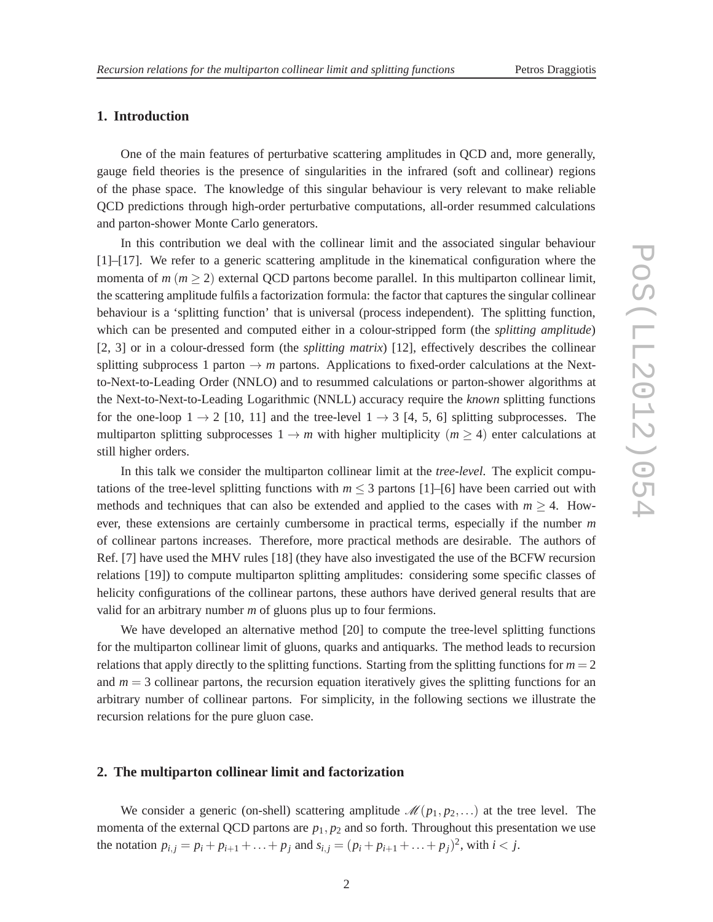### **1. Introduction**

One of the main features of perturbative scattering amplitudes in QCD and, more generally, gauge field theories is the presence of singularities in the infrared (soft and collinear) regions of the phase space. The knowledge of this singular behaviour is very relevant to make reliable QCD predictions through high-order perturbative computations, all-order resummed calculations and parton-shower Monte Carlo generators.

In this contribution we deal with the collinear limit and the associated singular behaviour [1]–[17]. We refer to a generic scattering amplitude in the kinematical configuration where the momenta of  $m (m \ge 2)$  external QCD partons become parallel. In this multiparton collinear limit, the scattering amplitude fulfils a factorization formula: the factor that captures the singular collinear behaviour is a 'splitting function' that is universal (process independent). The splitting function, which can be presented and computed either in a colour-stripped form (the *splitting amplitude*) [2, 3] or in a colour-dressed form (the *splitting matrix*) [12], effectively describes the collinear splitting subprocess 1 parton  $\rightarrow$  *m* partons. Applications to fixed-order calculations at the Nextto-Next-to-Leading Order (NNLO) and to resummed calculations or parton-shower algorithms at the Next-to-Next-to-Leading Logarithmic (NNLL) accuracy require the *known* splitting functions for the one-loop  $1 \rightarrow 2$  [10, 11] and the tree-level  $1 \rightarrow 3$  [4, 5, 6] splitting subprocesses. The multiparton splitting subprocesses  $1 \rightarrow m$  with higher multiplicity ( $m \geq 4$ ) enter calculations at still higher orders.

In this talk we consider the multiparton collinear limit at the *tree-level*. The explicit computations of the tree-level splitting functions with  $m \leq 3$  partons [1]–[6] have been carried out with methods and techniques that can also be extended and applied to the cases with  $m \geq 4$ . However, these extensions are certainly cumbersome in practical terms, especially if the number *m* of collinear partons increases. Therefore, more practical methods are desirable. The authors of Ref. [7] have used the MHV rules [18] (they have also investigated the use of the BCFW recursion relations [19]) to compute multiparton splitting amplitudes: considering some specific classes of helicity configurations of the collinear partons, these authors have derived general results that are valid for an arbitrary number *m* of gluons plus up to four fermions.

We have developed an alternative method [20] to compute the tree-level splitting functions for the multiparton collinear limit of gluons, quarks and antiquarks. The method leads to recursion relations that apply directly to the splitting functions. Starting from the splitting functions for  $m = 2$ and  $m = 3$  collinear partons, the recursion equation iteratively gives the splitting functions for an arbitrary number of collinear partons. For simplicity, in the following sections we illustrate the recursion relations for the pure gluon case.

### **2. The multiparton collinear limit and factorization**

We consider a generic (on-shell) scattering amplitude  $\mathcal{M}(p_1, p_2,...)$  at the tree level. The momenta of the external QCD partons are  $p_1, p_2$  and so forth. Throughout this presentation we use the notation  $p_{i,j} = p_i + p_{i+1} + ... + p_j$  and  $s_{i,j} = (p_i + p_{i+1} + ... + p_j)^2$ , with  $i < j$ .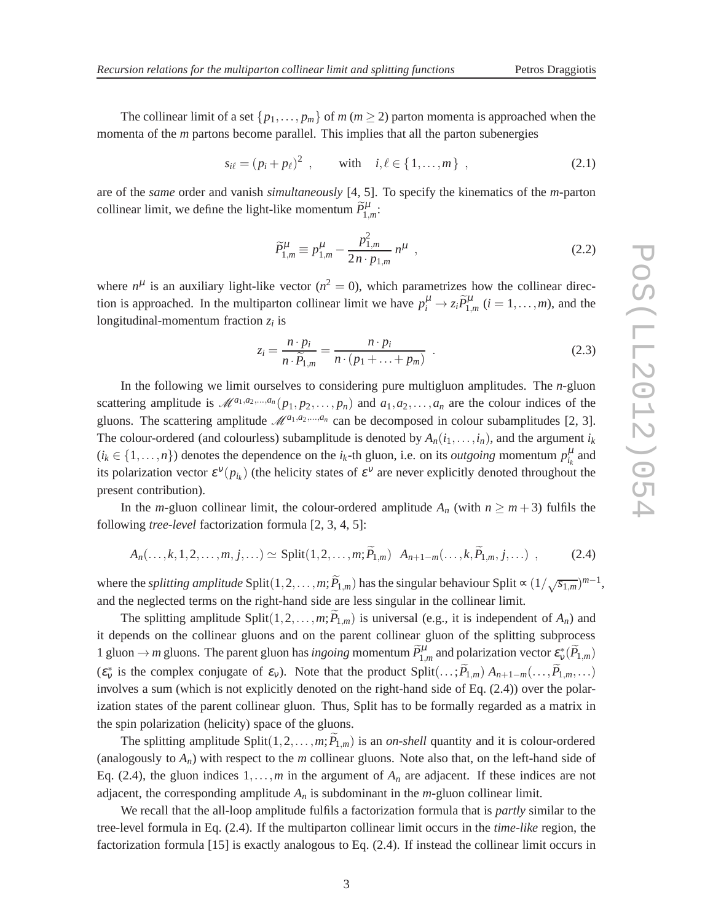The collinear limit of a set  $\{p_1, \ldots, p_m\}$  of *m* ( $m \ge 2$ ) parton momenta is approached when the momenta of the *m* partons become parallel. This implies that all the parton subenergies

$$
s_{i\ell} = (p_i + p_\ell)^2 \, , \qquad \text{with} \quad i, \ell \in \{1, ..., m\} \, , \tag{2.1}
$$

are of the *same* order and vanish *simultaneously* [4, 5]. To specify the kinematics of the *m*-parton collinear limit, we define the light-like momentum  $\tilde{P}_{1,m}^{\mu}$ :

$$
\widetilde{P}_{1,m}^{\mu} \equiv p_{1,m}^{\mu} - \frac{p_{1,m}^2}{2n \cdot p_{1,m}} n^{\mu} \quad , \tag{2.2}
$$

where  $n^{\mu}$  is an auxiliary light-like vector ( $n^2 = 0$ ), which parametrizes how the collinear direction is approached. In the multiparton collinear limit we have  $p_i^{\mu} \to z_i \tilde{P}_{1,m}^{\mu}$   $(i = 1, ..., m)$ , and the longitudinal-momentum fraction *z<sup>i</sup>* is

$$
z_i = \frac{n \cdot p_i}{n \cdot \widetilde{P}_{1,m}} = \frac{n \cdot p_i}{n \cdot (p_1 + \ldots + p_m)} \quad . \tag{2.3}
$$

In the following we limit ourselves to considering pure multigluon amplitudes. The *n*-gluon scattering amplitude is  $\mathcal{M}^{a_1,a_2,...,a_n}(p_1,p_2,...,p_n)$  and  $a_1,a_2,...,a_n$  are the colour indices of the gluons. The scattering amplitude  $\mathcal{M}^{a_1,a_2,...,a_n}$  can be decomposed in colour subamplitudes [2, 3]. The colour-ordered (and colourless) subamplitude is denoted by  $A_n(i_1,...,i_n)$ , and the argument  $i_k$  $(i_k \in \{1, ..., n\})$  denotes the dependence on the  $i_k$ -th gluon, i.e. on its *outgoing* momentum  $p_{i_k}^{\mu}$  and its polarization vector  $\varepsilon^{\nu}(p_{i_k})$  (the helicity states of  $\varepsilon^{\nu}$  are never explicitly denoted throughout the present contribution).

In the *m*-gluon collinear limit, the colour-ordered amplitude  $A_n$  (with  $n \ge m+3$ ) fulfils the following *tree-level* factorization formula [2, 3, 4, 5]:

$$
A_n(\ldots,k,1,2,\ldots,m,j,\ldots) \simeq \text{Split}(1,2,\ldots,m;P_{1,m}) \ A_{n+1-m}(\ldots,k,P_{1,m},j,\ldots) \ , \tag{2.4}
$$

where the *splitting amplitude* Split $(1, 2, ..., m; \widetilde{P}_{1,m})$  has the singular behaviour Split  $\propto (1/\sqrt{s_{1,m}})^{m-1}$ , and the neglected terms on the right-hand side are less singular in the collinear limit.

The splitting amplitude Split $(1, 2, \ldots, m; P_{1,m})$  is universal (e.g., it is independent of  $A_n$ ) and it depends on the collinear gluons and on the parent collinear gluon of the splitting subprocess 1 gluon  $\rightarrow$  *m* gluons. The parent gluon has *ingoing* momentum  $\tilde{P}_{1,m}^{\mu}$  and polarization vector  $\varepsilon_v^*(\tilde{P}_{1,m})$  $(\varepsilon_v^*$  is the complex conjugate of  $\varepsilon_v$ ). Note that the product Split $(\ldots; P_{1,m})$   $A_{n+1-m}(\ldots,P_{1,m},\ldots)$ involves a sum (which is not explicitly denoted on the right-hand side of Eq. (2.4)) over the polarization states of the parent collinear gluon. Thus, Split has to be formally regarded as a matrix in the spin polarization (helicity) space of the gluons.

The splitting amplitude Split $(1, 2, \ldots, m; P_{1,m})$  is an *on-shell* quantity and it is colour-ordered (analogously to  $A_n$ ) with respect to the  $m$  collinear gluons. Note also that, on the left-hand side of Eq. (2.4), the gluon indices  $1, \ldots, m$  in the argument of  $A_n$  are adjacent. If these indices are not adjacent, the corresponding amplitude  $A_n$  is subdominant in the  $m$ -gluon collinear limit.

We recall that the all-loop amplitude fulfils a factorization formula that is *partly* similar to the tree-level formula in Eq. (2.4). If the multiparton collinear limit occurs in the *time-like* region, the factorization formula [15] is exactly analogous to Eq. (2.4). If instead the collinear limit occurs in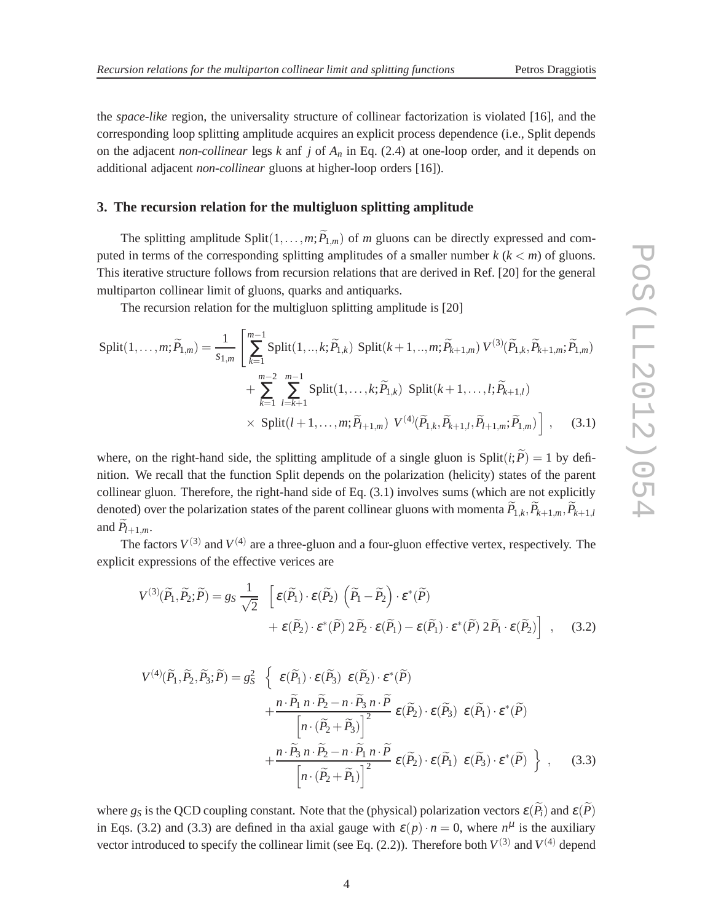the *space-like* region, the universality structure of collinear factorization is violated [16], and the corresponding loop splitting amplitude acquires an explicit process dependence (i.e., Split depends on the adjacent *non-collinear* legs *k* anf *j* of *A<sup>n</sup>* in Eq. (2.4) at one-loop order, and it depends on additional adjacent *non-collinear* gluons at higher-loop orders [16]).

# **3. The recursion relation for the multigluon splitting amplitude**

The splitting amplitude Split $(1, \ldots, m; \widetilde{P}_{1,m})$  of *m* gluons can be directly expressed and computed in terms of the corresponding splitting amplitudes of a smaller number  $k (k < m)$  of gluons. This iterative structure follows from recursion relations that are derived in Ref. [20] for the general multiparton collinear limit of gluons, quarks and antiquarks.

The recursion relation for the multigluon splitting amplitude is [20]

$$
\text{Split}(1, \dots, m; \widetilde{P}_{1,m}) = \frac{1}{s_{1,m}} \left[ \sum_{k=1}^{m-1} \text{Split}(1, \dots, k; \widetilde{P}_{1,k}) \text{ Split}(k+1, \dots, m; \widetilde{P}_{k+1,m}) V^{(3)}(\widetilde{P}_{1,k}, \widetilde{P}_{k+1,m}; \widetilde{P}_{1,m}) + \sum_{k=1}^{m-2} \sum_{l=k+1}^{m-1} \text{Split}(1, \dots, k; \widetilde{P}_{1,k}) \text{ Split}(k+1, \dots, l; \widetilde{P}_{k+1,l}) + \text{Split}(l+1, \dots, m; \widetilde{P}_{l+1,m}) V^{(4)}(\widetilde{P}_{1,k}, \widetilde{P}_{k+1,l}, \widetilde{P}_{l+1,m}; \widetilde{P}_{1,m}) \right], \quad (3.1)
$$

where, on the right-hand side, the splitting amplitude of a single gluon is Split( $i$ ;  $\widetilde{P}$ ) = 1 by definition. We recall that the function Split depends on the polarization (helicity) states of the parent collinear gluon. Therefore, the right-hand side of Eq. (3.1) involves sums (which are not explicitly denoted) over the polarization states of the parent collinear gluons with momenta  $\widetilde{P}_{1,k}, \widetilde{P}_{k+1,m}, \widetilde{P}_{k+1,l}$ and  $\widetilde{P}_{l+1,m}$ .

The factors  $V^{(3)}$  and  $V^{(4)}$  are a three-gluon and a four-gluon effective vertex, respectively. The explicit expressions of the effective verices are

$$
V^{(3)}(\widetilde{P}_1, \widetilde{P}_2; \widetilde{P}) = g_S \frac{1}{\sqrt{2}} \left[ \varepsilon(\widetilde{P}_1) \cdot \varepsilon(\widetilde{P}_2) \left( \widetilde{P}_1 - \widetilde{P}_2 \right) \cdot \varepsilon^*(\widetilde{P}) + \varepsilon(\widetilde{P}_2) \cdot \varepsilon^*(\widetilde{P}) 2 \widetilde{P}_2 \cdot \varepsilon(\widetilde{P}_1) - \varepsilon(\widetilde{P}_1) \cdot \varepsilon^*(\widetilde{P}) 2 \widetilde{P}_1 \cdot \varepsilon(\widetilde{P}_2) \right], \quad (3.2)
$$

$$
V^{(4)}(\widetilde{P}_1, \widetilde{P}_2, \widetilde{P}_3; \widetilde{P}) = g_S^2 \left\{ \begin{array}{c} \varepsilon(\widetilde{P}_1) \cdot \varepsilon(\widetilde{P}_3) & \varepsilon(\widetilde{P}_2) \cdot \varepsilon^*(\widetilde{P}) \\ + \frac{n \cdot \widetilde{P}_1 n \cdot \widetilde{P}_2 - n \cdot \widetilde{P}_3 n \cdot \widetilde{P}}{\left[n \cdot (\widetilde{P}_2 + \widetilde{P}_3)\right]^2} \varepsilon(\widetilde{P}_2) \cdot \varepsilon(\widetilde{P}_3) & \varepsilon(\widetilde{P}_1) \cdot \varepsilon^*(\widetilde{P}) \\ + \frac{n \cdot \widetilde{P}_3 n \cdot \widetilde{P}_2 - n \cdot \widetilde{P}_1 n \cdot \widetilde{P}}{\left[n \cdot (\widetilde{P}_2 + \widetilde{P}_1)\right]^2} \varepsilon(\widetilde{P}_2) \cdot \varepsilon(\widetilde{P}_1) & \varepsilon(\widetilde{P}_3) \cdot \varepsilon^*(\widetilde{P}) \end{array} \right\}, \quad (3.3)
$$

where  $g_S$  is the QCD coupling constant. Note that the (physical) polarization vectors  $\varepsilon(\widetilde{P}_i)$  and  $\varepsilon(\widetilde{P})$ in Eqs. (3.2) and (3.3) are defined in tha axial gauge with  $\varepsilon(p) \cdot n = 0$ , where  $n^{\mu}$  is the auxiliary vector introduced to specify the collinear limit (see Eq.  $(2.2)$ ). Therefore both  $V^{(3)}$  and  $V^{(4)}$  depend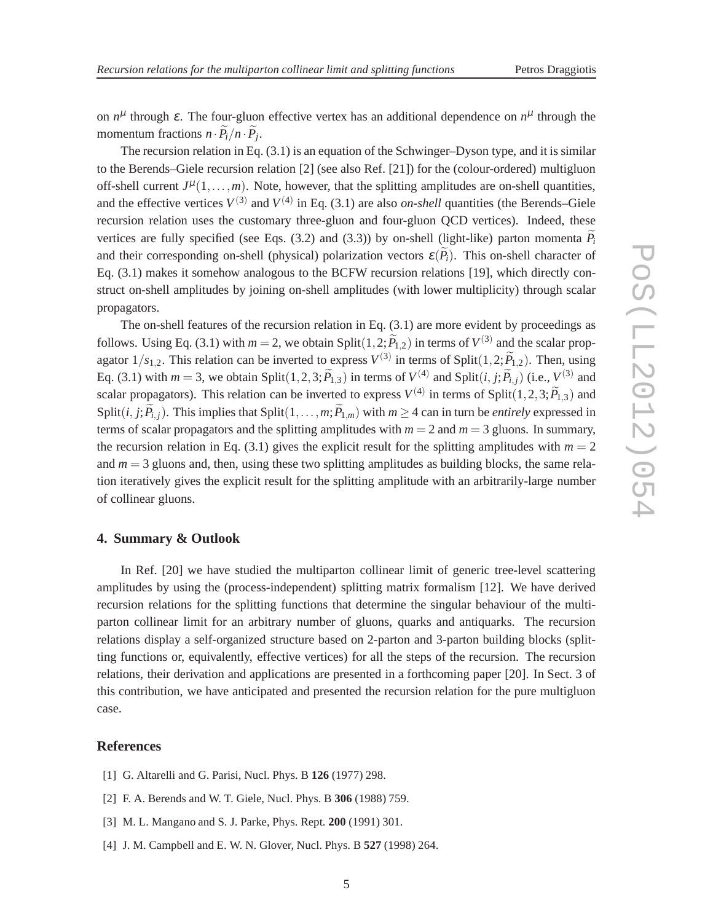on  $n^{\mu}$  through  $\varepsilon$ . The four-gluon effective vertex has an additional dependence on  $n^{\mu}$  through the momentum fractions  $n \cdot P_i / n \cdot P_j$ .

The recursion relation in Eq. (3.1) is an equation of the Schwinger–Dyson type, and it is similar to the Berends–Giele recursion relation [2] (see also Ref. [21]) for the (colour-ordered) multigluon off-shell current  $J^{\mu}(1,\ldots,m)$ . Note, however, that the splitting amplitudes are on-shell quantities, and the effective vertices  $V^{(3)}$  and  $V^{(4)}$  in Eq. (3.1) are also *on-shell* quantities (the Berends–Giele recursion relation uses the customary three-gluon and four-gluon QCD vertices). Indeed, these vertices are fully specified (see Eqs. (3.2) and (3.3)) by on-shell (light-like) parton momenta  $P_i$ and their corresponding on-shell (physical) polarization vectors  $\varepsilon(P_i)$ . This on-shell character of Eq. (3.1) makes it somehow analogous to the BCFW recursion relations [19], which directly construct on-shell amplitudes by joining on-shell amplitudes (with lower multiplicity) through scalar propagators.

The on-shell features of the recursion relation in Eq. (3.1) are more evident by proceedings as follows. Using Eq. (3.1) with  $m = 2$ , we obtain Split $(1, 2; \widetilde{P}_{1,2})$  in terms of  $V^{(3)}$  and the scalar propagator  $1/s_{1,2}$ . This relation can be inverted to express  $V^{(3)}$  in terms of Split $(1,2;\widetilde{P}_{1,2})$ . Then, using Eq. (3.1) with  $m = 3$ , we obtain Split $(1, 2, 3; \tilde{P}_{1,3})$  in terms of  $V^{(4)}$  and Split $(i, j; \tilde{P}_{i,j})$  (i.e.,  $V^{(3)}$  and scalar propagators). This relation can be inverted to express  $V^{(4)}$  in terms of Split $(1,2,3;\widetilde{P}_{1,3})$  and Split(*i*, *j*;  $\widetilde{P}_{i,j}$ ). This implies that Split(1,...,*m*;  $\widetilde{P}_{1,m}$ ) with  $m \geq 4$  can in turn be *entirely* expressed in terms of scalar propagators and the splitting amplitudes with  $m = 2$  and  $m = 3$  gluons. In summary, the recursion relation in Eq.  $(3.1)$  gives the explicit result for the splitting amplitudes with  $m = 2$ and  $m = 3$  gluons and, then, using these two splitting amplitudes as building blocks, the same relation iteratively gives the explicit result for the splitting amplitude with an arbitrarily-large number of collinear gluons.

### **4. Summary & Outlook**

In Ref. [20] we have studied the multiparton collinear limit of generic tree-level scattering amplitudes by using the (process-independent) splitting matrix formalism [12]. We have derived recursion relations for the splitting functions that determine the singular behaviour of the multiparton collinear limit for an arbitrary number of gluons, quarks and antiquarks. The recursion relations display a self-organized structure based on 2-parton and 3-parton building blocks (splitting functions or, equivalently, effective vertices) for all the steps of the recursion. The recursion relations, their derivation and applications are presented in a forthcoming paper [20]. In Sect. 3 of this contribution, we have anticipated and presented the recursion relation for the pure multigluon case.

### **References**

- [1] G. Altarelli and G. Parisi, Nucl. Phys. B **126** (1977) 298.
- [2] F. A. Berends and W. T. Giele, Nucl. Phys. B **306** (1988) 759.
- [3] M. L. Mangano and S. J. Parke, Phys. Rept. **200** (1991) 301.
- [4] J. M. Campbell and E. W. N. Glover, Nucl. Phys. B **527** (1998) 264.